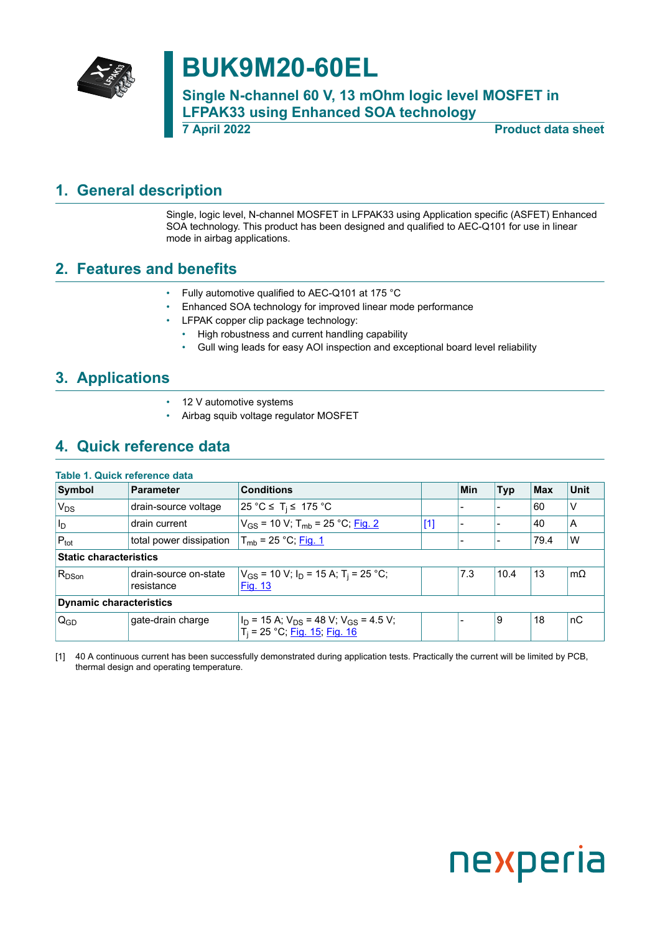

## **BUK9M20-60EL**

**Single N-channel 60 V, 13 mOhm logic level MOSFET in LFPAK33 using Enhanced SOA technology 7 April 2022 Product data sheet**

## <span id="page-0-1"></span>**1. General description**

<span id="page-0-0"></span>Single, logic level, N-channel MOSFET in LFPAK33 using Application specific (ASFET) Enhanced SOA technology. This product has been designed and qualified to AEC-Q101 for use in linear mode in airbag applications.

## <span id="page-0-2"></span>**2. Features and benefits**

- Fully automotive qualified to AEC-Q101 at 175 °C
- Enhanced SOA technology for improved linear mode performance
- LFPAK copper clip package technology:
	- High robustness and current handling capability
	- Gull wing leads for easy AOI inspection and exceptional board level reliability

## <span id="page-0-3"></span>**3. Applications**

- 12 V automotive systems
- Airbag squib voltage regulator MOSFET

## <span id="page-0-4"></span>**4. Quick reference data**

#### **Table 1. Quick reference data**

| Symbol                         | <b>Parameter</b>                    | <b>Conditions</b>                                                                                   |       | Min | <b>Typ</b> | $ $ Max | <b>Unit</b> |  |
|--------------------------------|-------------------------------------|-----------------------------------------------------------------------------------------------------|-------|-----|------------|---------|-------------|--|
| V <sub>DS</sub>                | drain-source voltage                | 25 °C ≤ T <sub>i</sub> ≤ 175 °C                                                                     |       |     |            | 60      | V           |  |
| $ I_D $                        | drain current                       | $V_{GS}$ = 10 V; T <sub>mb</sub> = 25 °C; Fig. 2                                                    | $[1]$ |     |            | 40      | A           |  |
| $P_{\text{tot}}$               | total power dissipation             | $T_{\rm mb}$ = 25 °C; Fig. 1                                                                        |       |     |            | 79.4    | W           |  |
| Static characteristics         |                                     |                                                                                                     |       |     |            |         |             |  |
| $R_{DSon}$                     | drain-source on-state<br>resistance | $V_{GS}$ = 10 V; $I_D$ = 15 A; T <sub>i</sub> = 25 °C;<br>Fig. 13                                   |       | 7.3 | 10.4       | 13      | $m\Omega$   |  |
| <b>Dynamic characteristics</b> |                                     |                                                                                                     |       |     |            |         |             |  |
| $Q_{GD}$                       | gate-drain charge                   | $I_D$ = 15 A; $V_{DS}$ = 48 V; V <sub>GS</sub> = 4.5 V;<br>T <sub>i</sub> = 25 °C; Fig. 15; Fig. 16 |       |     | 9          | 18      | ∣nC         |  |

[1] 40 A continuous current has been successfully demonstrated during application tests. Practically the current will be limited by PCB, thermal design and operating temperature.

# nexperia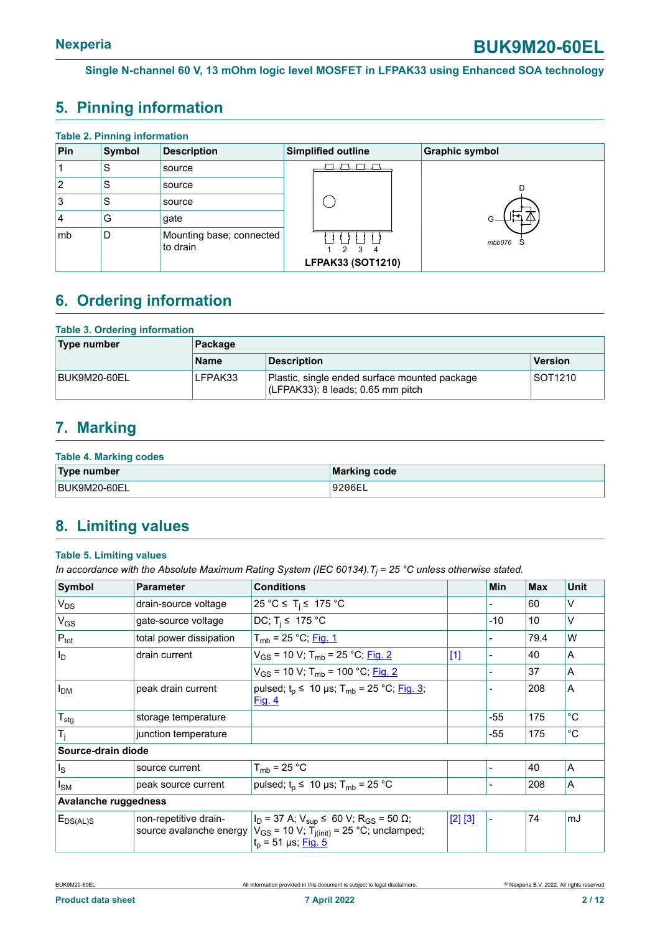## <span id="page-1-0"></span>**5. Pinning information**

| <b>Table 2. Pinning information</b> |        |                                      |                         |                       |  |  |  |  |
|-------------------------------------|--------|--------------------------------------|-------------------------|-----------------------|--|--|--|--|
| Pin                                 | Symbol | <b>Description</b>                   | Simplified outline      | <b>Graphic symbol</b> |  |  |  |  |
|                                     | S      | source                               |                         |                       |  |  |  |  |
| 2                                   | S      | source                               |                         |                       |  |  |  |  |
| 3                                   | S      | source                               |                         |                       |  |  |  |  |
| 4                                   | G      | gate                                 |                         |                       |  |  |  |  |
| mb                                  | D      | Mounting base; connected<br>to drain | $\mathcal{P}$<br>3<br>4 | mbb076<br>S           |  |  |  |  |
|                                     |        |                                      | LFPAK33 (SOT1210)       |                       |  |  |  |  |

## <span id="page-1-1"></span>**6. Ordering information**

#### **Table 3. Ordering information**

| Type number  | Package     |                                                                                        |         |  |  |  |
|--------------|-------------|----------------------------------------------------------------------------------------|---------|--|--|--|
|              | <b>Name</b> | <b>Description</b>                                                                     | Version |  |  |  |
| BUK9M20-60EL | LFPAK33     | Plastic, single ended surface mounted package<br>$ $ (LFPAK33); 8 leads; 0.65 mm pitch | SOT1210 |  |  |  |

## <span id="page-1-2"></span>**7. Marking**

#### **Table 4. Marking codes**

| Type number  | Marking code |
|--------------|--------------|
| BUK9M20-60EL | '9206EL      |

## <span id="page-1-3"></span>**8. Limiting values**

#### **Table 5. Limiting values**

*In accordance with the Absolute Maximum Rating System (IEC 60134).T<sup>j</sup> = 25 °C unless otherwise stated.*

| Symbol                       | <b>Parameter</b>                                 | <b>Conditions</b>                                                                                                                                          |         | <b>Min</b> | <b>Max</b> | <b>Unit</b> |  |
|------------------------------|--------------------------------------------------|------------------------------------------------------------------------------------------------------------------------------------------------------------|---------|------------|------------|-------------|--|
| $V_{DS}$                     | drain-source voltage                             | 25 °C ≤ T <sub>i</sub> ≤ 175 °C                                                                                                                            |         |            | 60         | v           |  |
| $V_{GS}$                     | gate-source voltage                              | DC; $T_i \leq 175$ °C                                                                                                                                      |         | $-10$      | 10         | V           |  |
| $P_{\text{tot}}$             | total power dissipation                          | $T_{mb}$ = 25 °C; Fig. 1                                                                                                                                   |         |            | 79.4       | W           |  |
| $I_D$                        | drain current                                    | $V_{GS}$ = 10 V; T <sub>mb</sub> = 25 °C; Fig. 2                                                                                                           | $[1]$   |            | 40         | A           |  |
|                              |                                                  | V <sub>GS</sub> = 10 V; T <sub>mb</sub> = 100 °C; <u>Fig. 2</u>                                                                                            |         |            | 37         | A           |  |
| I <sub>DM</sub>              | peak drain current                               | pulsed; $t_p \le 10$ µs; $T_{mb} = 25$ °C; Fig. 3;<br>Fig. 4                                                                                               |         |            | 208        | A           |  |
| $T_{\text{stg}}$             | storage temperature                              |                                                                                                                                                            |         | $-55$      | 175        | $^{\circ}C$ |  |
| $T_j$                        | junction temperature                             |                                                                                                                                                            |         | $-55$      | 175        | $^{\circ}C$ |  |
| Source-drain diode           |                                                  |                                                                                                                                                            |         |            |            |             |  |
| $\vert$ $\vert$ <sub>S</sub> | source current                                   | $T_{mb}$ = 25 °C                                                                                                                                           |         |            | 40         | A           |  |
| $I_{SM}$                     | peak source current                              | pulsed; $t_p \leq 10 \text{ }\mu\text{s}$ ; T <sub>mb</sub> = 25 °C                                                                                        |         |            | 208        | A           |  |
| <b>Avalanche ruggedness</b>  |                                                  |                                                                                                                                                            |         |            |            |             |  |
| $E_{DS(AL)S}$                | non-repetitive drain-<br>source avalanche energy | $I_D$ = 37 A; $V_{sup}$ ≤ 60 V; R <sub>GS</sub> = 50 $\Omega$ ;<br>$V_{GS}$ = 10 V; T <sub>j(init)</sub> = 25 °C; unclamped;<br>$t_p = 51 \,\mu s;$ Fig. 5 | [2] [3] |            | 74         | mJ          |  |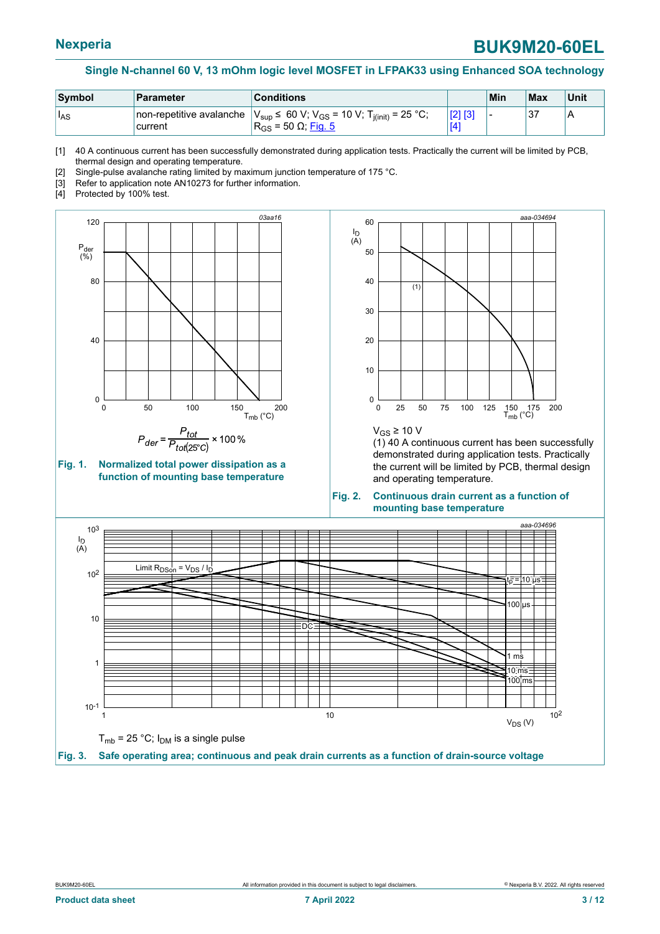<span id="page-2-2"></span>

| Symbol     | <b>Parameter</b>                           | <b>Conditions</b>                                                                                                |     | Min | Max | Unit |
|------------|--------------------------------------------|------------------------------------------------------------------------------------------------------------------|-----|-----|-----|------|
| <b>IAS</b> | non-repetitive avalanche<br><b>current</b> | $V_{\text{sup}}$ ≤ 60 V; V <sub>GS</sub> = 10 V; T <sub>j(init)</sub> = 25 °C;<br>$R_{GS}$ = 50 Ω; <u>Fig. 5</u> | TZ. |     | ບ   | A    |

[1] 40 A continuous current has been successfully demonstrated during application tests. Practically the current will be limited by PCB, thermal design and operating temperature.

[2] Single-pulse avalanche rating limited by maximum junction temperature of 175 °C.

- [3] Refer to application note AN10273 for further information.
- [4] Protected by 100% test.

<span id="page-2-1"></span>



<span id="page-2-0"></span>

 $V$ <sub>GS</sub> ≥ 10 V

(1) 40 A continuous current has been successfully demonstrated during application tests. Practically the current will be limited by PCB, thermal design and operating temperature.

#### **Fig. 2. Continuous drain current as a function of mounting base temperature**

<span id="page-2-3"></span>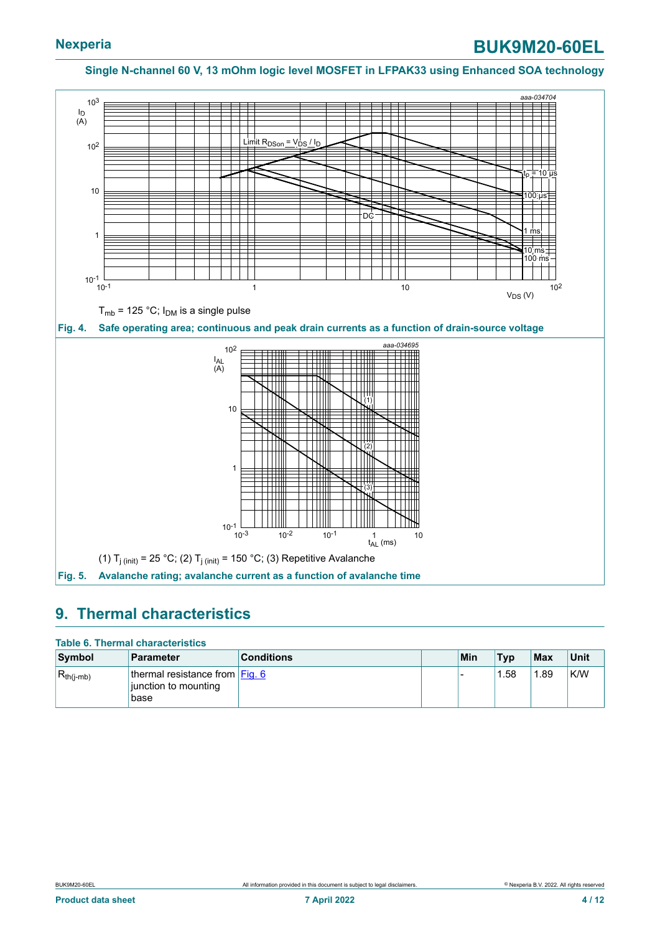<span id="page-3-1"></span><span id="page-3-0"></span>

### <span id="page-3-2"></span>**9. Thermal characteristics**

#### **Table 6. Thermal characteristics**

| Symbol         | <b>Parameter</b>                                                  | <b>Conditions</b> | Min | <b>Typ</b> | Max  | Unit |
|----------------|-------------------------------------------------------------------|-------------------|-----|------------|------|------|
| $R_{th(j-mb)}$ | thermal resistance from $Eig. 6$<br>liunction to mounting<br>base |                   |     | .58        | 1.89 | K/W  |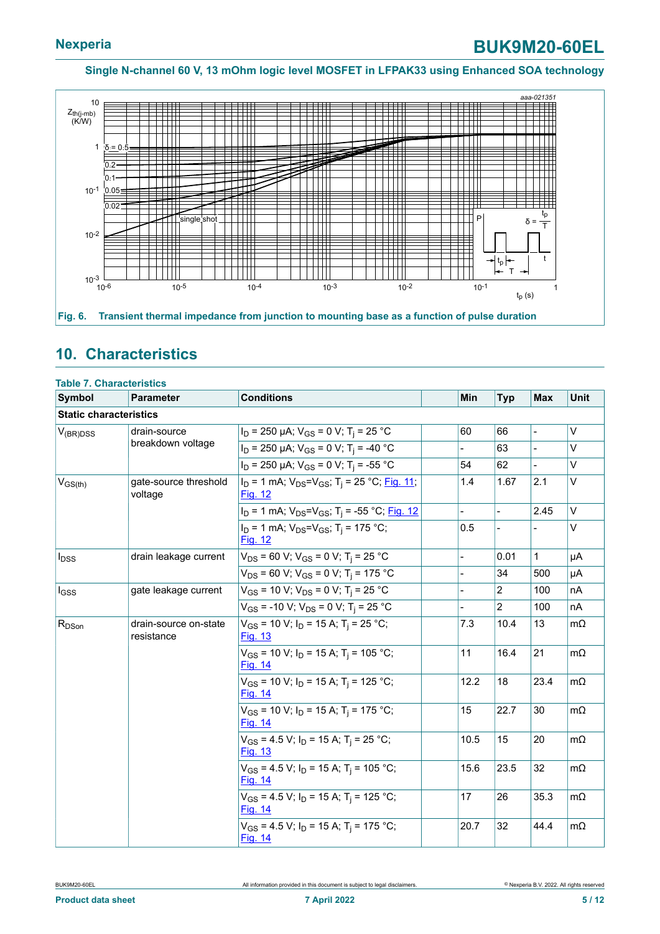<span id="page-4-0"></span>

## <span id="page-4-1"></span>**10. Characteristics**

|                               | <b>Table 7. Characteristics</b>     |                                                                                      |                |                          |                |           |
|-------------------------------|-------------------------------------|--------------------------------------------------------------------------------------|----------------|--------------------------|----------------|-----------|
| Symbol                        | Parameter                           | <b>Conditions</b>                                                                    | Min            | <b>Typ</b>               | <b>Max</b>     | Unit      |
| <b>Static characteristics</b> |                                     |                                                                                      |                |                          |                |           |
| $V_{(BR)DSS}$                 | drain-source                        | $I_D$ = 250 µA; $V_{GS}$ = 0 V; T <sub>i</sub> = 25 °C                               | 60             | 66                       | $\overline{a}$ | $\vee$    |
|                               | breakdown voltage                   | $I_D$ = 250 µA; $V_{GS}$ = 0 V; T <sub>i</sub> = -40 °C                              |                | 63                       |                | $\vee$    |
|                               |                                     | $I_D$ = 250 µA; $V_{GS}$ = 0 V; T <sub>i</sub> = -55 °C                              | 54             | 62                       |                | V         |
| $V_{GS(th)}$                  | gate-source threshold<br>voltage    | $I_D = 1$ mA; $V_{DS} = V_{GS}$ ; T <sub>i</sub> = 25 °C; Fig. 11;<br><b>Fig. 12</b> | 1.4            | 1.67                     | 2.1            | $\vee$    |
|                               |                                     | $I_D$ = 1 mA; $V_{DS} = V_{GS}$ ; T <sub>i</sub> = -55 °C; Fig. 12                   |                | $\overline{\phantom{0}}$ | 2.45           | $\vee$    |
|                               |                                     | $I_D = 1$ mA; $V_{DS} = V_{GS}$ ; T <sub>i</sub> = 175 °C;<br>Fig. 12                | 0.5            | $\overline{\phantom{0}}$ |                | V         |
| $I_{DSS}$                     | drain leakage current               | $V_{DS}$ = 60 V; V <sub>GS</sub> = 0 V; T <sub>i</sub> = 25 °C                       | $\overline{a}$ | 0.01                     | $\mathbf{1}$   | μA        |
|                               |                                     | $V_{DS}$ = 60 V; V <sub>GS</sub> = 0 V; T <sub>i</sub> = 175 °C                      |                | 34                       | 500            | μA        |
| $I_{GSS}$                     | gate leakage current                | $V_{GS}$ = 10 V; $V_{DS}$ = 0 V; T <sub>i</sub> = 25 °C                              |                | 2                        | 100            | nA        |
|                               |                                     | $V_{GS}$ = -10 V; $V_{DS}$ = 0 V; T <sub>i</sub> = 25 °C                             |                | $\overline{2}$           | 100            | nA        |
| $R_{DSon}$                    | drain-source on-state<br>resistance | $V_{GS}$ = 10 V; $I_D$ = 15 A; T <sub>i</sub> = 25 °C;<br><b>Fig. 13</b>             | 7.3            | 10.4                     | 13             | $m\Omega$ |
|                               |                                     | $V_{GS}$ = 10 V; $I_D$ = 15 A; T <sub>i</sub> = 105 °C;<br><b>Fig. 14</b>            | 11             | 16.4                     | 21             | $m\Omega$ |
|                               |                                     | $V_{GS}$ = 10 V; $I_D$ = 15 A; T <sub>i</sub> = 125 °C;<br>Fig. 14                   | 12.2           | 18                       | 23.4           | $m\Omega$ |
|                               |                                     | $V_{GS}$ = 10 V; I <sub>D</sub> = 15 A; T <sub>i</sub> = 175 °C;<br><b>Fig. 14</b>   | 15             | 22.7                     | 30             | $m\Omega$ |
|                               |                                     | $V_{GS}$ = 4.5 V; $I_D$ = 15 A; T <sub>i</sub> = 25 °C;<br>Fig. 13                   | 10.5           | 15                       | 20             | $m\Omega$ |
|                               |                                     | $V_{GS}$ = 4.5 V; I <sub>D</sub> = 15 A; T <sub>i</sub> = 105 °C;<br>Fig. 14         | 15.6           | 23.5                     | 32             | $m\Omega$ |
|                               |                                     | $V_{GS}$ = 4.5 V; $I_D$ = 15 A; T <sub>i</sub> = 125 °C;<br><b>Fig. 14</b>           | 17             | 26                       | 35.3           | $m\Omega$ |
|                               |                                     | $V_{GS}$ = 4.5 V; $I_D$ = 15 A; T <sub>i</sub> = 175 °C;<br>Fig. 14                  | 20.7           | 32                       | 44.4           | $m\Omega$ |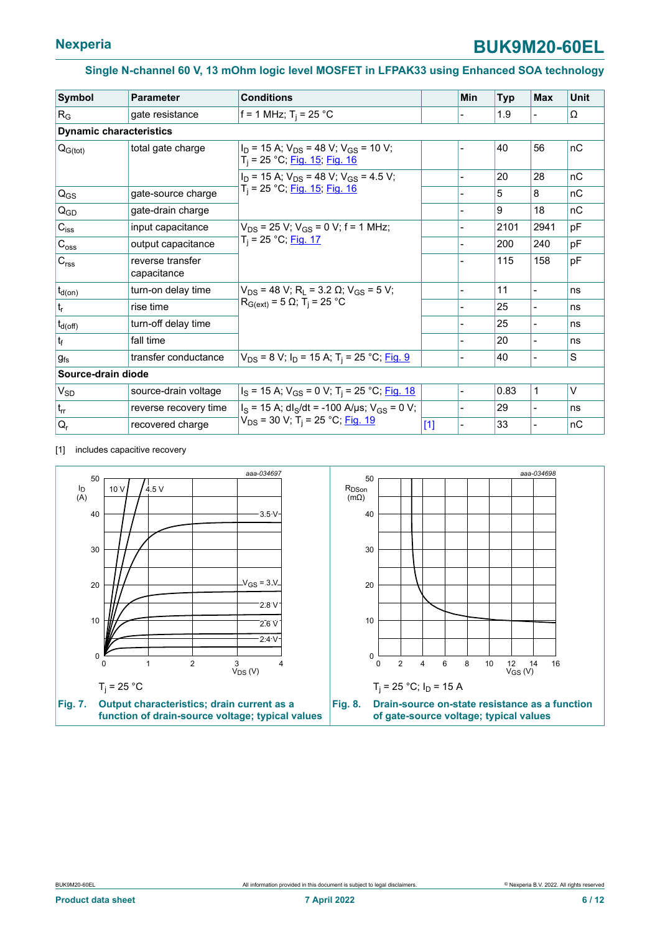<span id="page-5-0"></span>

| <b>Symbol</b>                  | <b>Parameter</b>                | <b>Conditions</b>                                                                  |       | <b>Min</b> | <b>Typ</b> | <b>Max</b>               | <b>Unit</b> |
|--------------------------------|---------------------------------|------------------------------------------------------------------------------------|-------|------------|------------|--------------------------|-------------|
| $R_G$                          | gate resistance                 | f = 1 MHz; $T_i$ = 25 °C                                                           |       |            | 1.9        |                          | Ω           |
| <b>Dynamic characteristics</b> |                                 |                                                                                    |       |            |            |                          |             |
| $Q_{G(tot)}$                   | total gate charge               | $I_D$ = 15 A; $V_{DS}$ = 48 V; $V_{GS}$ = 10 V;<br>$T_i$ = 25 °C; Fig. 15; Fig. 16 |       |            | 40         | 56                       | nC          |
|                                |                                 | $I_D$ = 15 A; $V_{DS}$ = 48 V; $V_{GS}$ = 4.5 V;                                   |       |            | 20         | 28                       | nC          |
| $Q_{GS}$                       | gate-source charge              | T <sub>i</sub> = 25 °C; Fig. 15; Fig. 16                                           |       |            | 5          | 8                        | nC          |
| $Q_{GD}$                       | gate-drain charge               |                                                                                    |       |            | 9          | 18                       | nC          |
| $C_{iss}$                      | input capacitance               | $V_{DS}$ = 25 V; $V_{GS}$ = 0 V; f = 1 MHz;<br>$T_i = 25 °C;$ Fig. 17              |       |            | 2101       | 2941                     | pF          |
| $C_{\rm oss}$                  | output capacitance              |                                                                                    |       |            | 200        | 240                      | pF          |
| $C_{\text{rss}}$               | reverse transfer<br>capacitance |                                                                                    |       |            | 115        | 158                      | pF          |
| $t_{d(on)}$                    | turn-on delay time              | $V_{DS}$ = 48 V; R <sub>1</sub> = 3.2 $\Omega$ ; V <sub>GS</sub> = 5 V;            |       |            | 11         | $\overline{\phantom{0}}$ | ns          |
| $t_{r}$                        | rise time                       | $R_{G(ext)} = 5 \Omega$ ; T <sub>i</sub> = 25 °C                                   |       |            | 25         |                          | ns          |
| $t_{d(\text{off})}$            | turn-off delay time             |                                                                                    |       |            | 25         |                          | ns          |
| $ t_{\rm f} $                  | fall time                       |                                                                                    |       |            | 20         | $\overline{a}$           | ns          |
| $g_{fs}$                       | transfer conductance            | $V_{DS}$ = 8 V; I <sub>D</sub> = 15 A; T <sub>i</sub> = 25 °C; <u>Fig. 9</u>       |       |            | 40         |                          | S           |
| Source-drain diode             |                                 |                                                                                    |       |            |            |                          |             |
| $V_{SD}$                       | source-drain voltage            | $I_S$ = 15 A; $V_{GS}$ = 0 V; T <sub>i</sub> = 25 °C; Fig. 18                      |       |            | 0.83       | 1                        | $\vee$      |
| $t_{rr}$                       | reverse recovery time           | $I_S = 15$ A; dl <sub>S</sub> /dt = -100 A/µs; V <sub>GS</sub> = 0 V;              |       |            | 29         |                          | ns          |
| $Q_{r}$                        | recovered charge                | V <sub>DS</sub> = 30 V; T <sub>i</sub> = 25 °C; <u>Fig. 19</u>                     | $[1]$ |            | 33         |                          | nC          |

[1] includes capacitive recovery

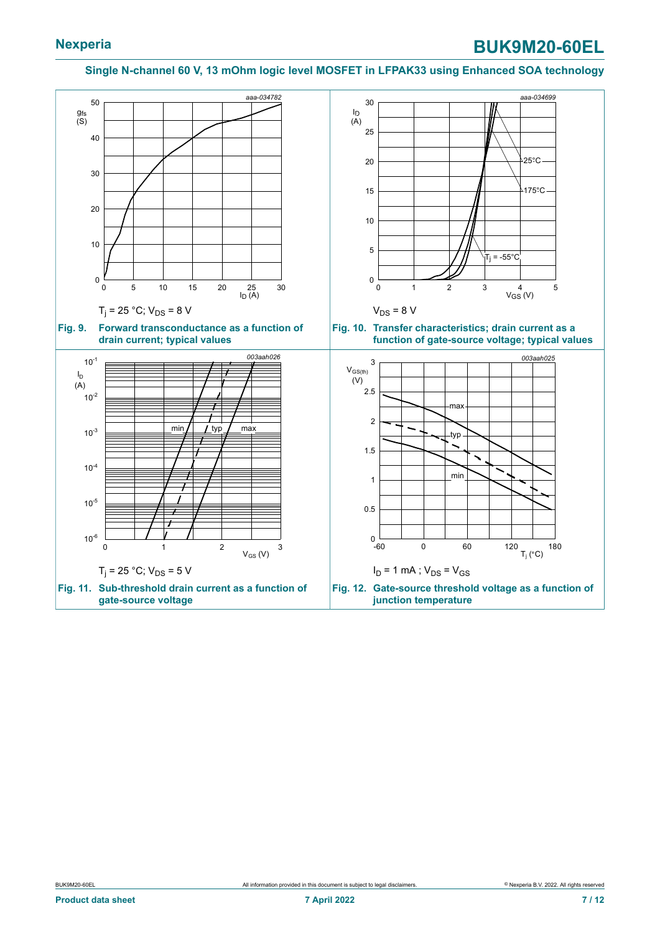<span id="page-6-2"></span><span id="page-6-1"></span><span id="page-6-0"></span>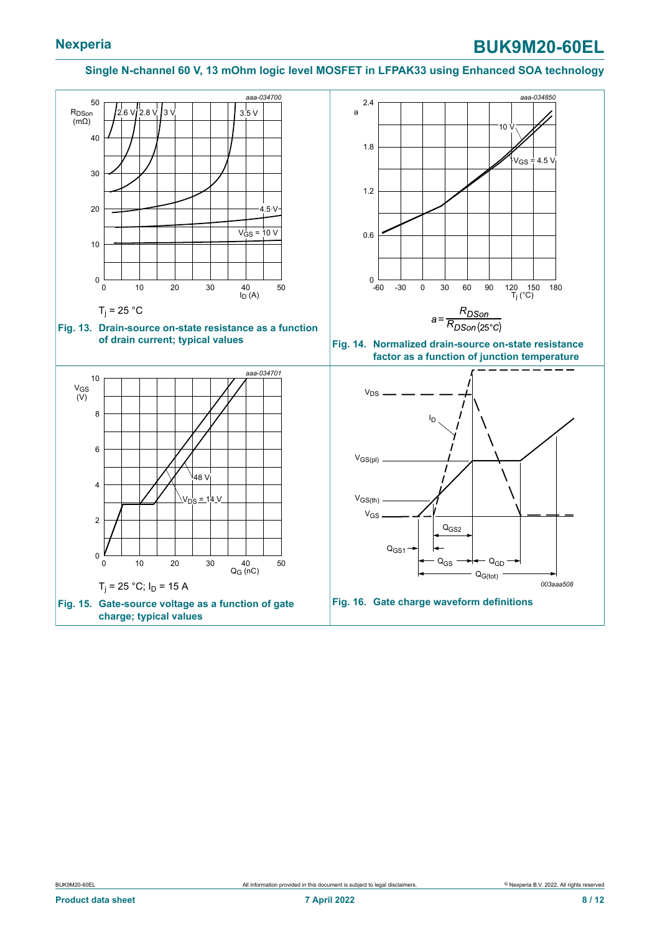<span id="page-7-3"></span><span id="page-7-2"></span><span id="page-7-1"></span><span id="page-7-0"></span>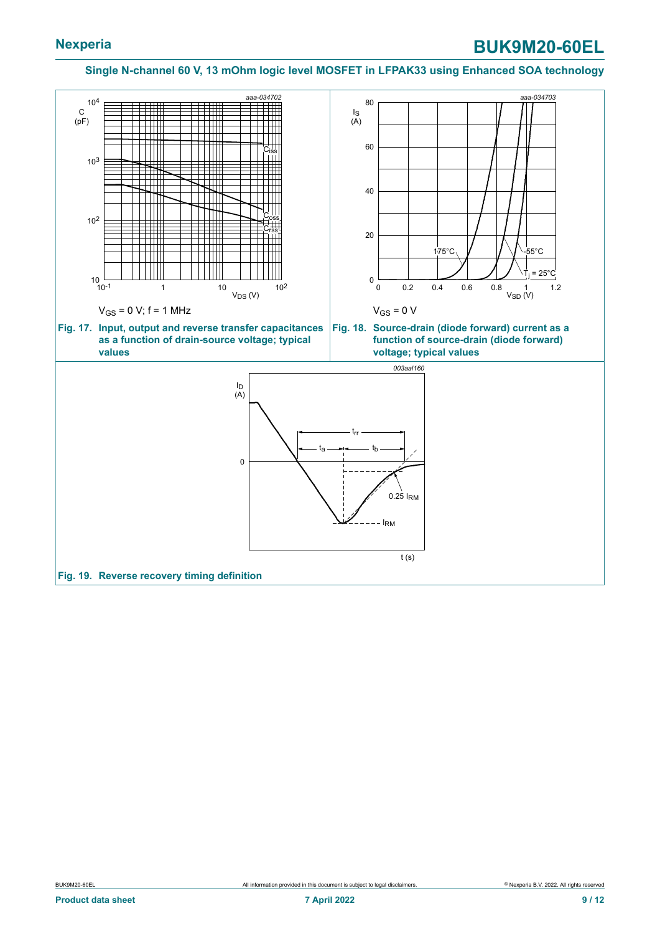<span id="page-8-2"></span><span id="page-8-1"></span><span id="page-8-0"></span>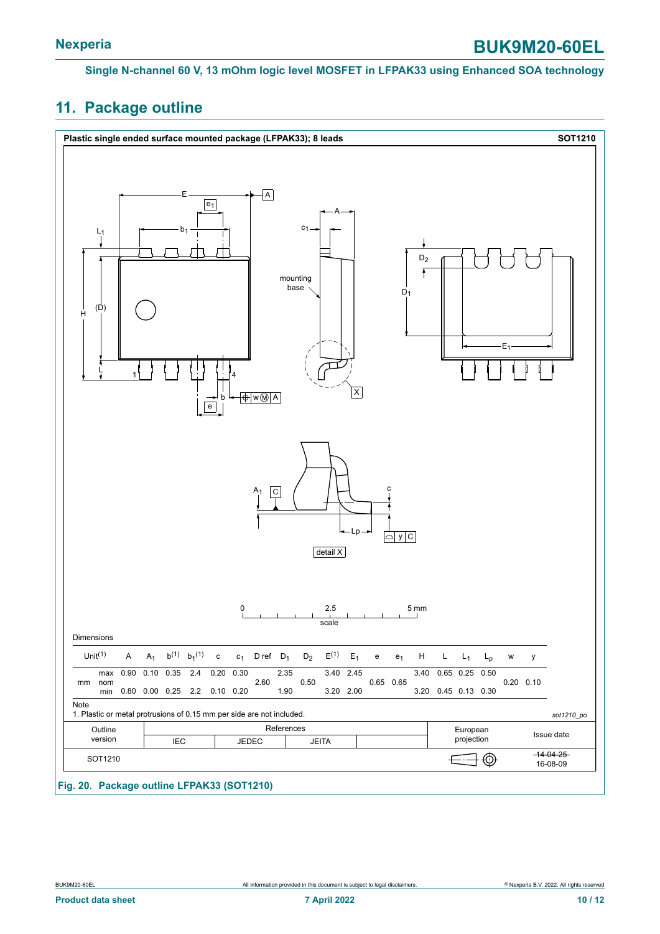## <span id="page-9-0"></span>**11. Package outline**

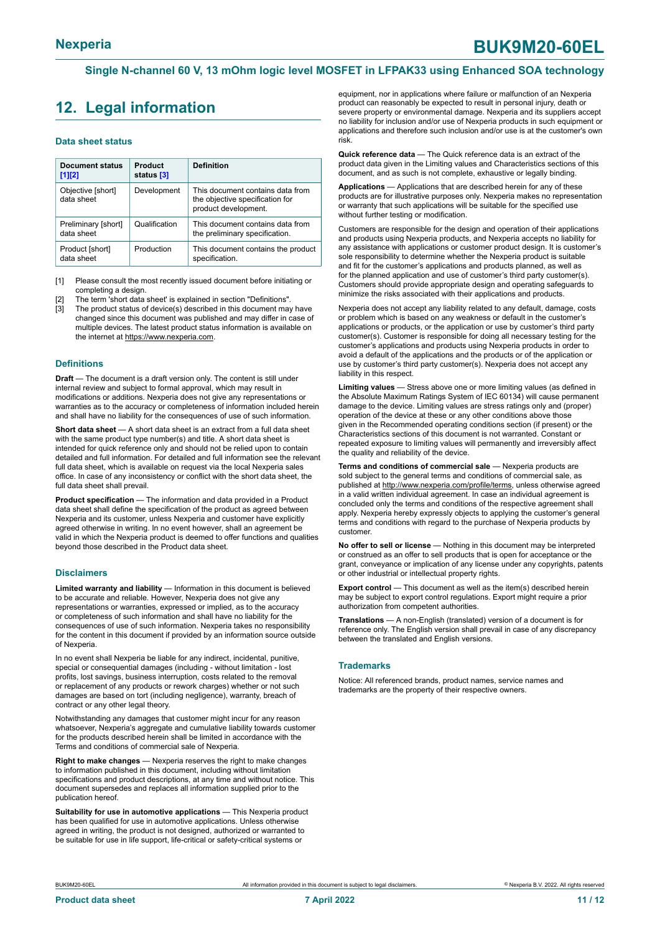## <span id="page-10-0"></span>**12. Legal information**

#### **Data sheet status**

| Document status<br>$[1]$ [2]      | <b>Product</b><br>status [3] | <b>Definition</b>                                                                           |
|-----------------------------------|------------------------------|---------------------------------------------------------------------------------------------|
| Objective [short]<br>data sheet   | Development                  | This document contains data from<br>the objective specification for<br>product development. |
| Preliminary [short]<br>data sheet | Qualification                | This document contains data from<br>the preliminary specification.                          |
| Product [short]<br>data sheet     | Production                   | This document contains the product<br>specification.                                        |

[1] Please consult the most recently issued document before initiating or completing a design.

The term 'short data sheet' is explained in section "Definitions".

[3] The product status of device(s) described in this document may have changed since this document was published and may differ in case of multiple devices. The latest product status information is available on the internet at [https://www.nexperia.com.](https://www.nexperia.com)

#### **Definitions**

**Draft** — The document is a draft version only. The content is still under internal review and subject to formal approval, which may result in modifications or additions. Nexperia does not give any representations or warranties as to the accuracy or completeness of information included herein and shall have no liability for the consequences of use of such information.

**Short data sheet** — A short data sheet is an extract from a full data sheet with the same product type number(s) and title. A short data sheet is intended for quick reference only and should not be relied upon to contain detailed and full information. For detailed and full information see the relevant full data sheet, which is available on request via the local Nexperia sales office. In case of any inconsistency or conflict with the short data sheet, the full data sheet shall prevail.

**Product specification** — The information and data provided in a Product data sheet shall define the specification of the product as agreed between Nexperia and its customer, unless Nexperia and customer have explicitly agreed otherwise in writing. In no event however, shall an agreement be valid in which the Nexperia product is deemed to offer functions and qualities beyond those described in the Product data sheet.

#### **Disclaimers**

**Limited warranty and liability** — Information in this document is believed to be accurate and reliable. However, Nexperia does not give any representations or warranties, expressed or implied, as to the accuracy or completeness of such information and shall have no liability for the consequences of use of such information. Nexperia takes no responsibility for the content in this document if provided by an information source outside of Nexperia.

In no event shall Nexperia be liable for any indirect, incidental, punitive, special or consequential damages (including - without limitation - lost profits, lost savings, business interruption, costs related to the removal or replacement of any products or rework charges) whether or not such damages are based on tort (including negligence), warranty, breach of contract or any other legal theory.

Notwithstanding any damages that customer might incur for any reason whatsoever, Nexperia's aggregate and cumulative liability towards customer for the products described herein shall be limited in accordance with the Terms and conditions of commercial sale of Nexperia.

**Right to make changes** — Nexperia reserves the right to make changes to information published in this document, including without limitation specifications and product descriptions, at any time and without notice. This document supersedes and replaces all information supplied prior to the publication hereof

**Suitability for use in automotive applications** — This Nexperia product has been qualified for use in automotive applications. Unless otherwise agreed in writing, the product is not designed, authorized or warranted to be suitable for use in life support, life-critical or safety-critical systems or

equipment, nor in applications where failure or malfunction of an Nexperia product can reasonably be expected to result in personal injury, death or severe property or environmental damage. Nexperia and its suppliers accept no liability for inclusion and/or use of Nexperia products in such equipment or applications and therefore such inclusion and/or use is at the customer's own risk.

**Quick reference data** — The Quick reference data is an extract of the product data given in the Limiting values and Characteristics sections of this document, and as such is not complete, exhaustive or legally binding.

**Applications** — Applications that are described herein for any of these products are for illustrative purposes only. Nexperia makes no representation or warranty that such applications will be suitable for the specified use without further testing or modification.

Customers are responsible for the design and operation of their applications and products using Nexperia products, and Nexperia accepts no liability for any assistance with applications or customer product design. It is customer's sole responsibility to determine whether the Nexperia product is suitable and fit for the customer's applications and products planned, as well as for the planned application and use of customer's third party customer(s). Customers should provide appropriate design and operating safeguards to minimize the risks associated with their applications and products.

Nexperia does not accept any liability related to any default, damage, costs or problem which is based on any weakness or default in the customer's applications or products, or the application or use by customer's third party customer(s). Customer is responsible for doing all necessary testing for the customer's applications and products using Nexperia products in order to avoid a default of the applications and the products or of the application or use by customer's third party customer(s). Nexperia does not accept any liability in this respect.

**Limiting values** — Stress above one or more limiting values (as defined in the Absolute Maximum Ratings System of IEC 60134) will cause permanent damage to the device. Limiting values are stress ratings only and (proper) operation of the device at these or any other conditions above those given in the Recommended operating conditions section (if present) or the Characteristics sections of this document is not warranted. Constant or repeated exposure to limiting values will permanently and irreversibly affect the quality and reliability of the device.

**Terms and conditions of commercial sale** — Nexperia products are sold subject to the general terms and conditions of commercial sale, as published at [http://www.nexperia.com/profile/terms,](http://www.nexperia.com/profile/terms) unless otherwise agreed in a valid written individual agreement. In case an individual agreement is concluded only the terms and conditions of the respective agreement shall apply. Nexperia hereby expressly objects to applying the customer's general terms and conditions with regard to the purchase of Nexperia products by customer.

**No offer to sell or license** — Nothing in this document may be interpreted or construed as an offer to sell products that is open for acceptance or the grant, conveyance or implication of any license under any copyrights, patents or other industrial or intellectual property rights.

**Export control** — This document as well as the item(s) described herein may be subject to export control regulations. Export might require a prior authorization from competent authorities.

**Translations** — A non-English (translated) version of a document is for reference only. The English version shall prevail in case of any discrepancy between the translated and English versions.

#### **Trademarks**

Notice: All referenced brands, product names, service names and trademarks are the property of their respective owners.